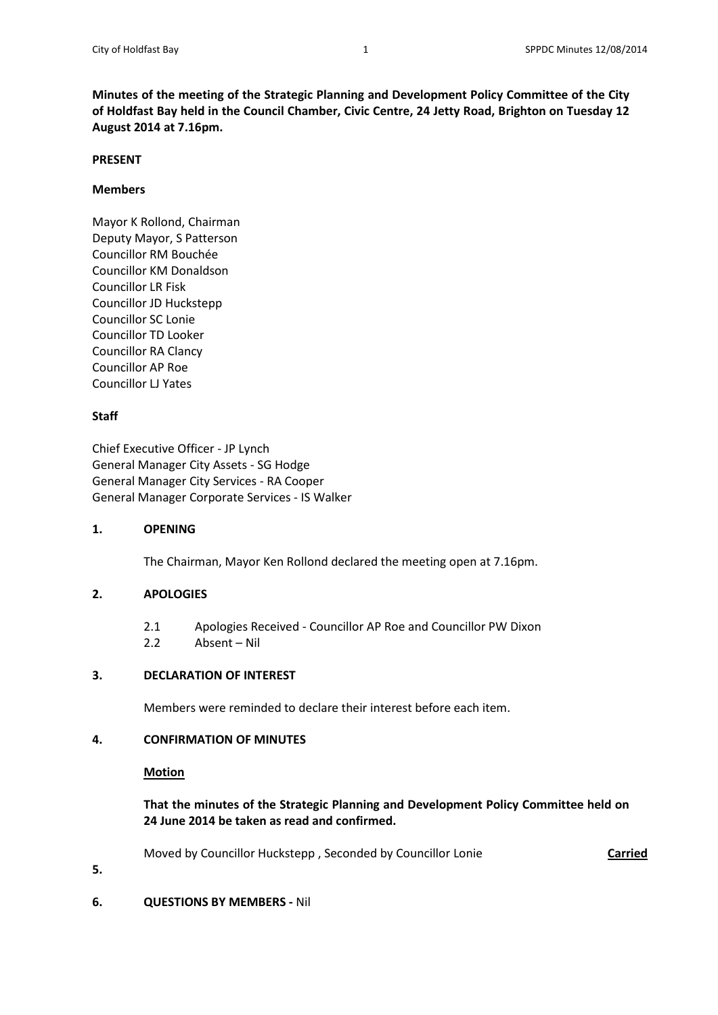**Minutes of the meeting of the Strategic Planning and Development Policy Committee of the City of Holdfast Bay held in the Council Chamber, Civic Centre, 24 Jetty Road, Brighton on Tuesday 12 August 2014 at 7.16pm.**

### **PRESENT**

## **Members**

Mayor K Rollond, Chairman Deputy Mayor, S Patterson Councillor RM Bouchée Councillor KM Donaldson Councillor LR Fisk Councillor JD Huckstepp Councillor SC Lonie Councillor TD Looker Councillor RA Clancy Councillor AP Roe Councillor LJ Yates

# **Staff**

Chief Executive Officer - JP Lynch General Manager City Assets - SG Hodge General Manager City Services - RA Cooper General Manager Corporate Services - IS Walker

# **1. OPENING**

The Chairman, Mayor Ken Rollond declared the meeting open at 7.16pm.

# **2. APOLOGIES**

2.1 Apologies Received - Councillor AP Roe and Councillor PW Dixon 2.2 Absent – Nil

# **3. DECLARATION OF INTEREST**

Members were reminded to declare their interest before each item.

# **4. CONFIRMATION OF MINUTES**

### **Motion**

**5.**

**That the minutes of the Strategic Planning and Development Policy Committee held on 24 June 2014 be taken as read and confirmed.**

Moved by Councillor Huckstepp, Seconded by Councillor Lonie **Carried** 

**6. QUESTIONS BY MEMBERS -** Nil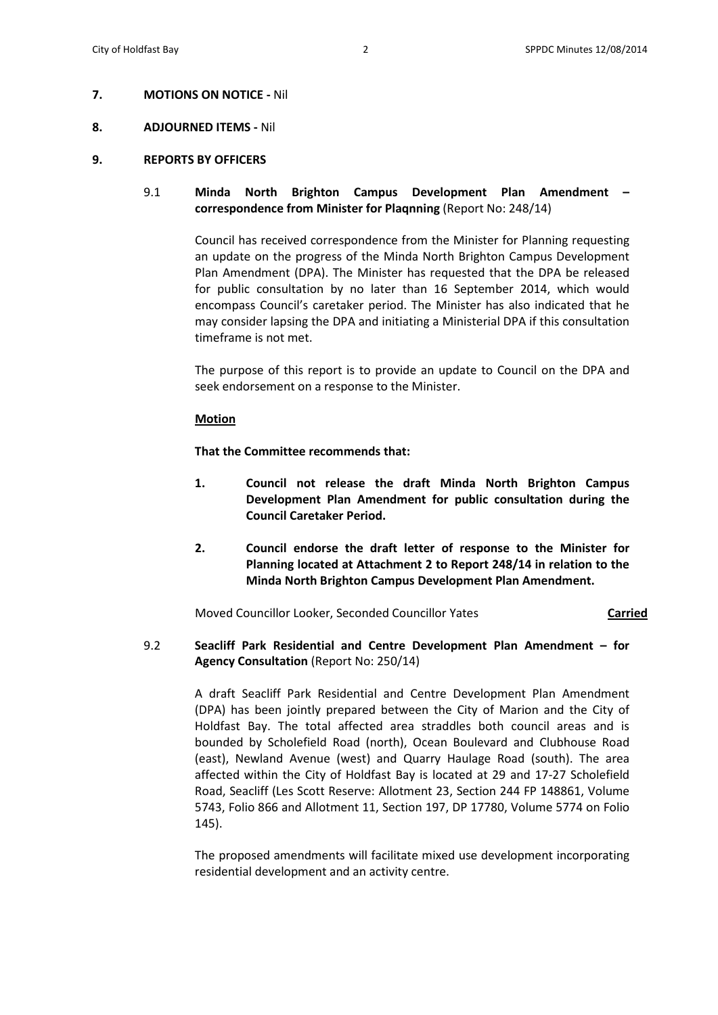### **7. MOTIONS ON NOTICE -** Nil

### **8. ADJOURNED ITEMS -** Nil

### **9. REPORTS BY OFFICERS**

# 9.1 **Minda North Brighton Campus Development Plan Amendment – correspondence from Minister for Plaqnning** (Report No: 248/14)

Council has received correspondence from the Minister for Planning requesting an update on the progress of the Minda North Brighton Campus Development Plan Amendment (DPA). The Minister has requested that the DPA be released for public consultation by no later than 16 September 2014, which would encompass Council's caretaker period. The Minister has also indicated that he may consider lapsing the DPA and initiating a Ministerial DPA if this consultation timeframe is not met.

The purpose of this report is to provide an update to Council on the DPA and seek endorsement on a response to the Minister.

#### **Motion**

**That the Committee recommends that:** 

- **1. Council not release the draft Minda North Brighton Campus Development Plan Amendment for public consultation during the Council Caretaker Period.**
- **2. Council endorse the draft letter of response to the Minister for Planning located at Attachment 2 to Report 248/14 in relation to the Minda North Brighton Campus Development Plan Amendment.**

Moved Councillor Looker, Seconded Councillor Yates **Carried**

# 9.2 **Seacliff Park Residential and Centre Development Plan Amendment – for Agency Consultation** (Report No: 250/14)

A draft Seacliff Park Residential and Centre Development Plan Amendment (DPA) has been jointly prepared between the City of Marion and the City of Holdfast Bay. The total affected area straddles both council areas and is bounded by Scholefield Road (north), Ocean Boulevard and Clubhouse Road (east), Newland Avenue (west) and Quarry Haulage Road (south). The area affected within the City of Holdfast Bay is located at 29 and 17-27 Scholefield Road, Seacliff (Les Scott Reserve: Allotment 23, Section 244 FP 148861, Volume 5743, Folio 866 and Allotment 11, Section 197, DP 17780, Volume 5774 on Folio 145).

The proposed amendments will facilitate mixed use development incorporating residential development and an activity centre.